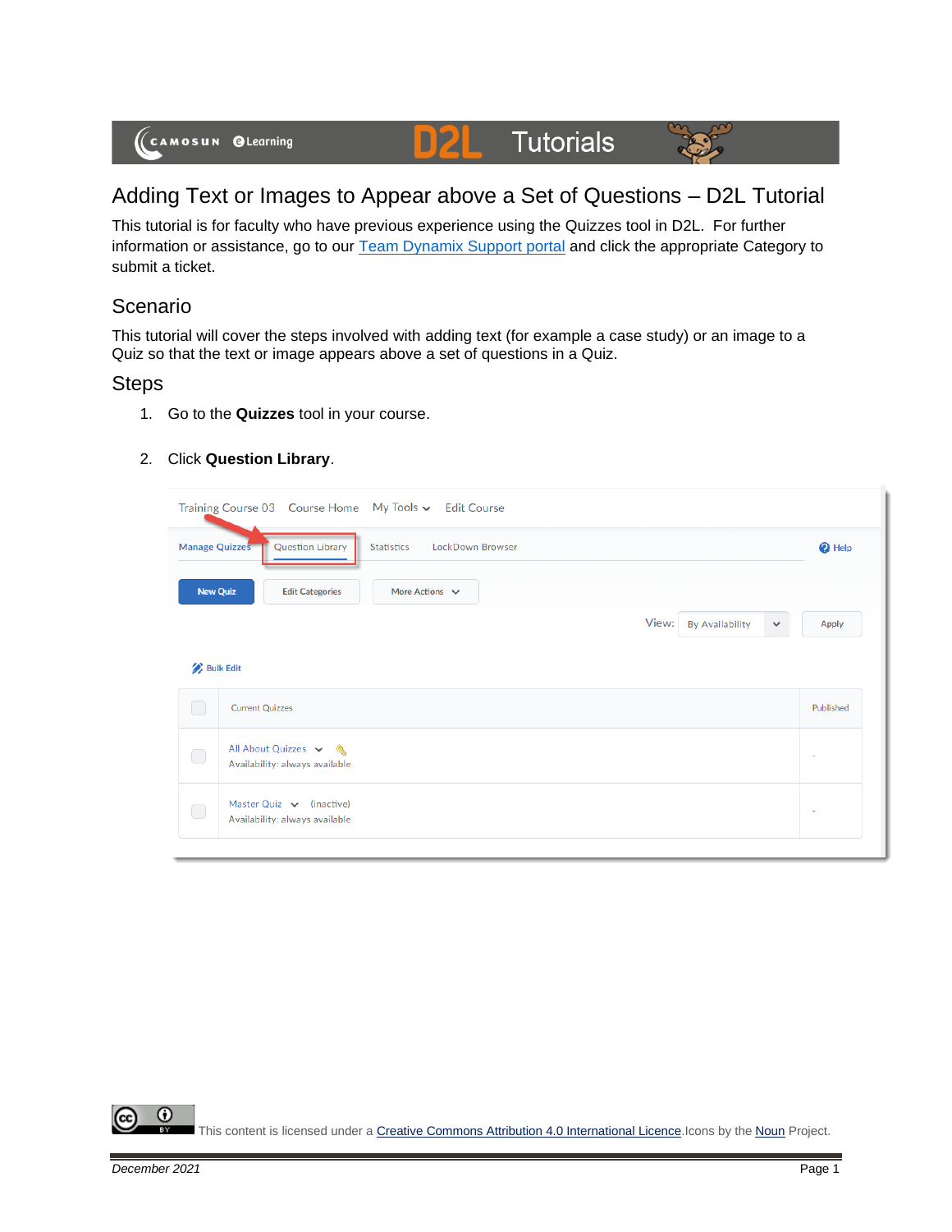

## Adding Text or Images to Appear above a Set of Questions – D2L Tutorial

This tutorial is for faculty who have previous experience using the Quizzes tool in D2L. For further information or assistance, go to our **Team Dynamix Support portal** and click the appropriate Category to submit a ticket.

## Scenario

This tutorial will cover the steps involved with adding text (for example a case study) or an image to a Quiz so that the text or image appears above a set of questions in a Quiz.

## **Steps**

- 1. Go to the **Quizzes** tool in your course.
- 2. Click **Question Library**.

|                                                                                    | Training Course 03 Course Home My Tools v Edit Course           |       |                        |              |                |  |  |
|------------------------------------------------------------------------------------|-----------------------------------------------------------------|-------|------------------------|--------------|----------------|--|--|
| <b>Question Library</b><br>Manage Quizzes<br>LockDown Browser<br><b>Statistics</b> |                                                                 |       |                        |              |                |  |  |
| <b>New Quiz</b>                                                                    | <b>Edit Categories</b><br>More Actions $\vee$                   |       |                        |              |                |  |  |
|                                                                                    |                                                                 | View: | <b>By Availability</b> | $\checkmark$ | Apply          |  |  |
| <b>Bulk Edit</b>                                                                   |                                                                 |       |                        |              |                |  |  |
| O                                                                                  | <b>Current Quizzes</b>                                          |       |                        |              | Published      |  |  |
| $\Box$                                                                             | All About Quizzes v &<br>Availability: always available         |       |                        |              | $\overline{a}$ |  |  |
| $\bigcirc$                                                                         | Master Quiz $\vee$ (inactive)<br>Availability: always available |       |                        |              |                |  |  |
|                                                                                    |                                                                 |       |                        |              |                |  |  |

⋒ This content is licensed under [a Creative Commons Attribution 4.0 International Licence.I](https://creativecommons.org/licenses/by/4.0/)cons by the [Noun](https://creativecommons.org/website-icons/) Project.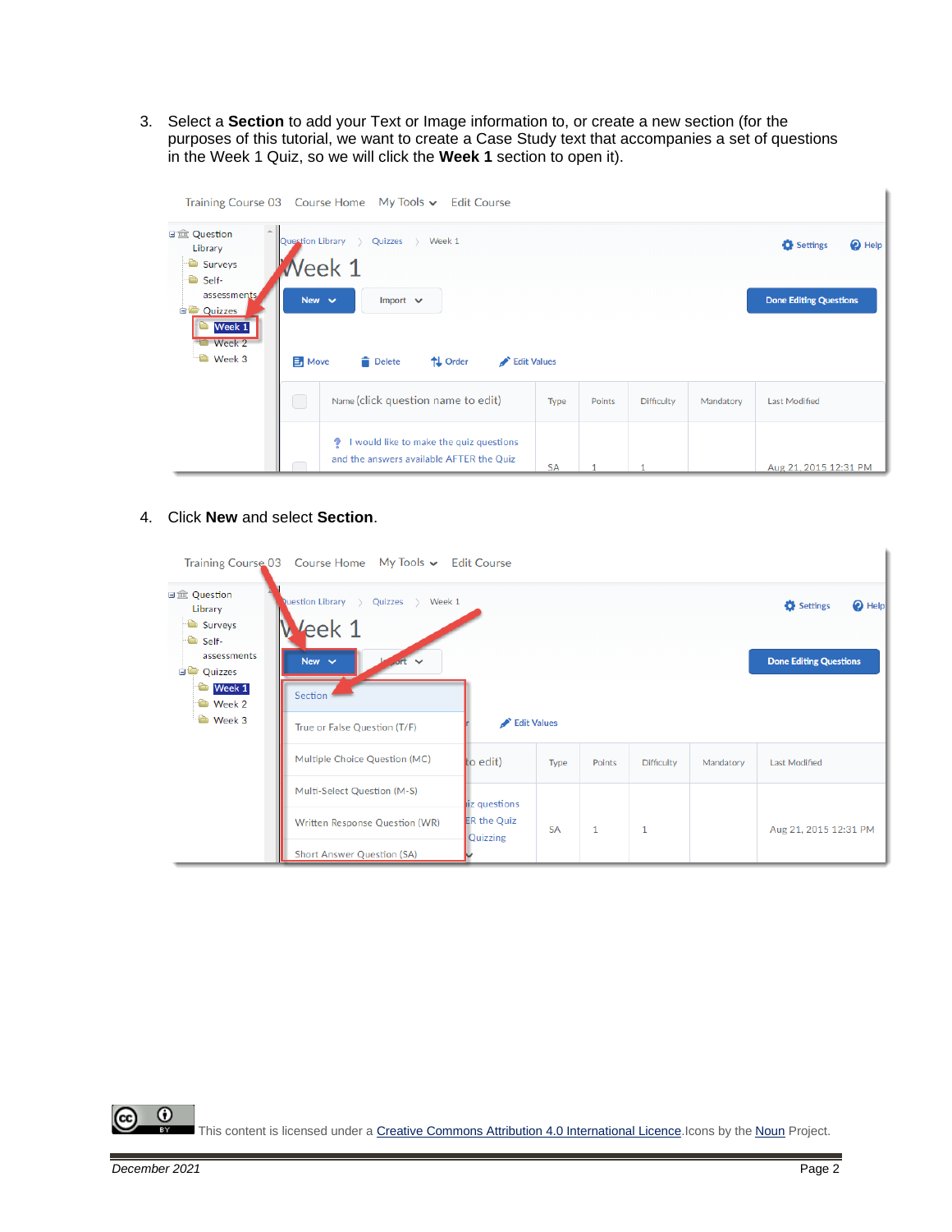3. Select a **Section** to add your Text or Image information to, or create a new section (for the purposes of this tutorial, we want to create a Case Study text that accompanies a set of questions in the Week 1 Quiz, so we will click the **Week 1** section to open it).

|                                                                  |                  | Training Course 03 Course Home My Tools v Edit Course                                    |           |        |                   |           |                               |
|------------------------------------------------------------------|------------------|------------------------------------------------------------------------------------------|-----------|--------|-------------------|-----------|-------------------------------|
| 日 Question<br>Library<br>Surveys<br>Self-                        | Question Library | Quizzes > Week 1<br>$\rightarrow$<br>$i$ Week 1                                          |           |        |                   |           | $\odot$ Help<br>Settings      |
| assessments<br><b>Quizzes</b><br>Week 1<br>Week 2<br>Ò<br>Week 3 | <b>B</b> Move    | New $\vee$<br>Import $\vee$<br>↑↓ Order<br><b>Delete</b><br>Edit Values                  |           |        |                   |           | <b>Done Editing Questions</b> |
|                                                                  |                  | Name (click question name to edit)                                                       | Type      | Points | <b>Difficulty</b> | Mandatory | <b>Last Modified</b>          |
|                                                                  |                  | I would like to make the quiz questions<br>9<br>and the answers available AFTER the Quiz | <b>SA</b> |        |                   |           | Aug 21, 2015 12:31 PM         |

4. Click **New** and select **Section**.

|                                                                                                                                       | Training Course 03 Course Home My Tools v Edit Course                                                            |                                                            |           |        |                   |           |                       |
|---------------------------------------------------------------------------------------------------------------------------------------|------------------------------------------------------------------------------------------------------------------|------------------------------------------------------------|-----------|--------|-------------------|-----------|-----------------------|
| 日 Question<br>Library<br>Surveys<br><sup>t</sup> Self-<br>assessments<br><b>Quizzes</b><br><b>Week 1</b><br><b>D</b> Week 2<br>Week 3 | <b>Nuestion Library &gt; Quizzes &gt; Week 1</b><br>Veek 1<br>New $\vee$<br>$\checkmark$<br>Section <sup>*</sup> | <b>O</b> Help<br>Settings<br><b>Done Editing Questions</b> |           |        |                   |           |                       |
|                                                                                                                                       | True or False Question (T/F)                                                                                     | Edit Values                                                |           |        |                   |           |                       |
|                                                                                                                                       | Multiple Choice Question (MC)                                                                                    | to edit)                                                   | Type      | Points | <b>Difficulty</b> | Mandatory | <b>Last Modified</b>  |
|                                                                                                                                       | Multi-Select Question (M-S)                                                                                      | iz questions                                               |           |        |                   |           |                       |
|                                                                                                                                       | Written Response Question (WR)                                                                                   | <b>ER the Quiz</b><br>Quizzing                             | <b>SA</b> | 1      | 1                 |           | Aug 21, 2015 12:31 PM |
|                                                                                                                                       | <b>Short Answer Question (SA)</b>                                                                                |                                                            |           |        |                   |           |                       |

 $\overline{0}$ (cc

This content is licensed under [a Creative Commons Attribution 4.0 International Licence.I](https://creativecommons.org/licenses/by/4.0/)cons by the [Noun](https://creativecommons.org/website-icons/) Project.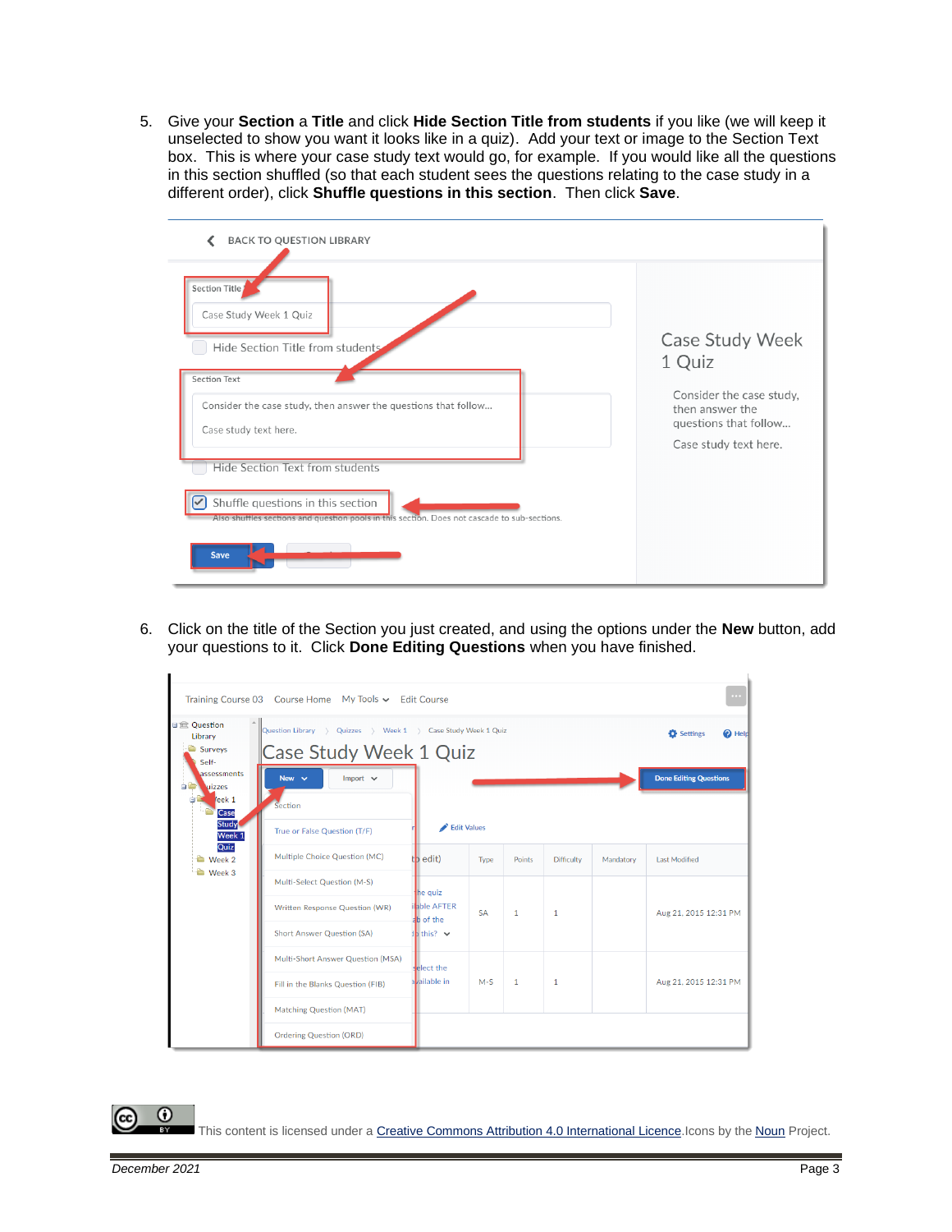5. Give your **Section** a **Title** and click **Hide Section Title from students** if you like (we will keep it unselected to show you want it looks like in a quiz). Add your text or image to the Section Text box. This is where your case study text would go, for example. If you would like all the questions in this section shuffled (so that each student sees the questions relating to the case study in a different order), click **Shuffle questions in this section**. Then click **Save**.



6. Click on the title of the Section you just created, and using the options under the **New** button, add your questions to it. Click **Done Editing Questions** when you have finished.

|                                                                                         | Training Course 03 Course Home My Tools ↓ Edit Course                                  |                                    |                    |                |                   |           | $\cdots$                      |
|-----------------------------------------------------------------------------------------|----------------------------------------------------------------------------------------|------------------------------------|--------------------|----------------|-------------------|-----------|-------------------------------|
| 日 <b>血</b> Ouestion<br>Library<br>Surveys<br>Self-                                      | Question Library > Quizzes > Week 1 > Case Study Week 1 Quiz<br>Case Study Week 1 Quiz |                                    |                    |                |                   |           | Settings<br><sup>2</sup> Held |
| assessments<br>$\bullet$<br><b>Nuizzes</b><br>leek <sub>1</sub><br>Case<br><b>Study</b> | Import $\vee$<br>New $\vee$<br>Section                                                 |                                    | <b>Edit Values</b> |                |                   |           | <b>Done Editing Questions</b> |
| Week 1<br>Quiz                                                                          | True or False Question (T/F)<br>Multiple Choice Question (MC)                          |                                    |                    |                |                   |           |                               |
| Week 2<br>Week 3                                                                        |                                                                                        | t <b>b</b> edit)                   | Type               | Points         | <b>Difficulty</b> | Mandatory | <b>Last Modified</b>          |
|                                                                                         | Multi-Select Question (M-S)                                                            | he quiz<br>able AFTER<br>ab of the |                    | 1              | 1                 |           |                               |
|                                                                                         | Written Response Question (WR)                                                         |                                    | <b>SA</b>          |                |                   |           | Aug 21, 2015 12:31 PM         |
|                                                                                         | <b>Short Answer Question (SA)</b>                                                      | $1b$ this? $\vee$                  |                    |                |                   |           |                               |
|                                                                                         | Multi-Short Answer Question (MSA)                                                      | select the                         |                    |                |                   |           |                               |
|                                                                                         | Fill in the Blanks Question (FIB)                                                      | available in                       | $M-S$              | $\overline{1}$ | $\mathbf{1}$      |           | Aug 21, 2015 12:31 PM         |
|                                                                                         | <b>Matching Question (MAT)</b>                                                         |                                    |                    |                |                   |           |                               |
|                                                                                         | <b>Ordering Question (ORD)</b>                                                         |                                    |                    |                |                   |           |                               |

⋒

This content is licensed under [a Creative Commons Attribution 4.0 International Licence.I](https://creativecommons.org/licenses/by/4.0/)cons by the [Noun](https://creativecommons.org/website-icons/) Project.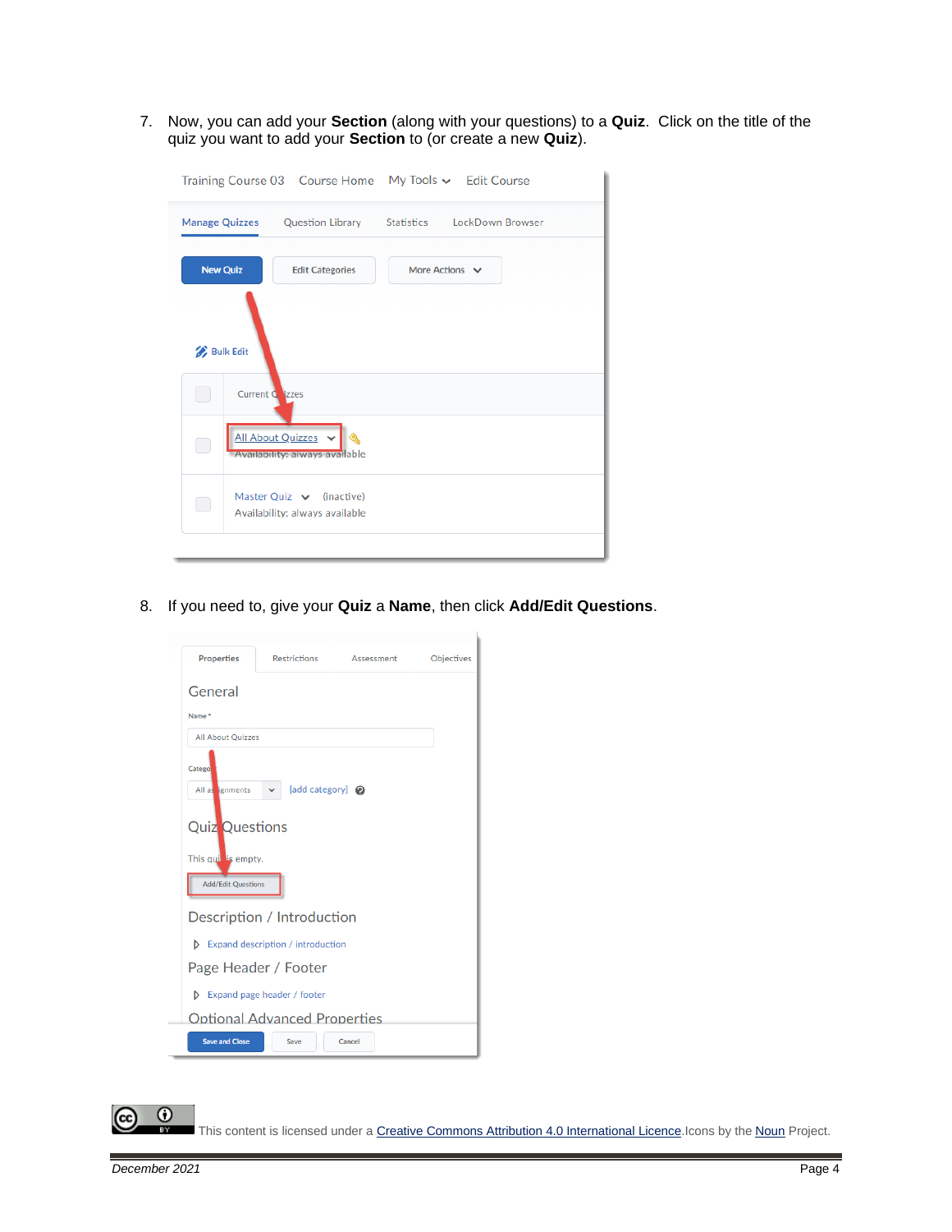7. Now, you can add your **Section** (along with your questions) to a **Quiz**. Click on the title of the quiz you want to add your **Section** to (or create a new **Quiz**).

|                                     |                                                                 | Training Course 03  Course Home  My Tools v  Edit Course       |  |
|-------------------------------------|-----------------------------------------------------------------|----------------------------------------------------------------|--|
|                                     |                                                                 | Manage Quizzes  Question Library  Statistics  LockDown Browser |  |
| <b>New Quiz</b>                     | <b>Edit Categories</b>                                          | More Actions $\vee$                                            |  |
| <b>Bulk Edit</b><br>Current C izzes |                                                                 |                                                                |  |
| in 1                                | All About Quizzes<br>Q<br><b>Availability: always available</b> |                                                                |  |
| ri i                                | Master Quiz $\vee$ (inactive)<br>Availability: always available |                                                                |  |

8. If you need to, give your **Quiz** a **Name**, then click **Add/Edit Questions**.

| <b>Properties</b>                                                                                     | Restrictions                                       | Assessment | Objectives |
|-------------------------------------------------------------------------------------------------------|----------------------------------------------------|------------|------------|
| General                                                                                               |                                                    |            |            |
| Name*                                                                                                 |                                                    |            |            |
| <b>All About Quizzes</b>                                                                              |                                                    |            |            |
| Catego<br>All as ignments<br><b>Quiz</b> Questions<br>This qui is empty.<br><b>Add/Edit Questions</b> | [add category] @<br>$\checkmark$                   |            |            |
|                                                                                                       |                                                    |            |            |
|                                                                                                       | Description / Introduction                         |            |            |
|                                                                                                       | $\triangleright$ Expand description / introduction |            |            |
|                                                                                                       | Page Header / Footer                               |            |            |
|                                                                                                       | $\triangleright$ Expand page header / footer       |            |            |
|                                                                                                       | <b>Optional Advanced Properties</b>                |            |            |
| <b>Save and Close</b>                                                                                 | Save                                               | Cancel     |            |

This content is licensed under [a Creative Commons Attribution 4.0 International Licence.I](https://creativecommons.org/licenses/by/4.0/)cons by the [Noun](https://creativecommons.org/website-icons/) Project.

 $\overline{0}$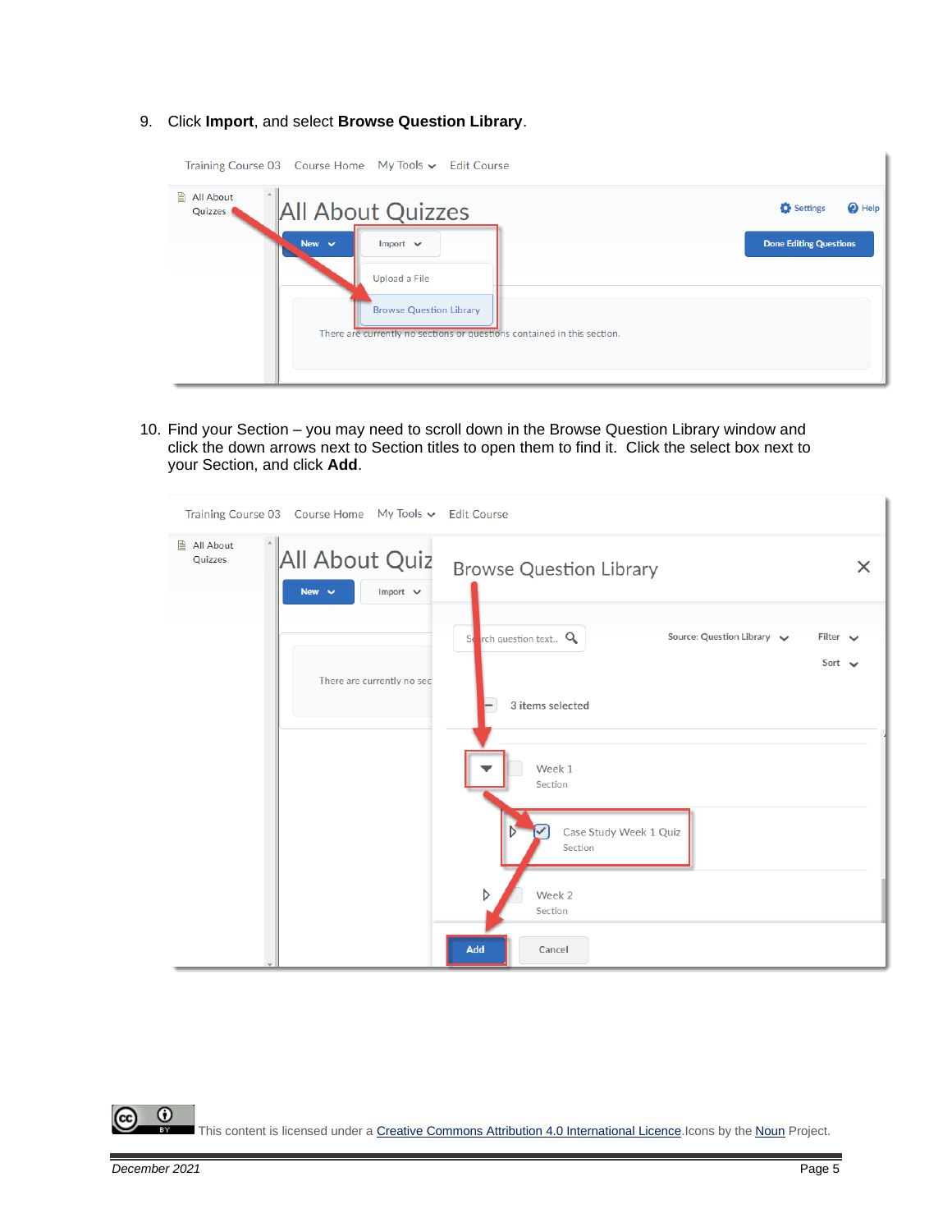9. Click **Import**, and select **Browse Question Library**.

| Training Course 03 Course Home My Tools v Edit Course                                                                                                                                                           |                                                                |
|-----------------------------------------------------------------------------------------------------------------------------------------------------------------------------------------------------------------|----------------------------------------------------------------|
| All About<br><b>All About Quizzes</b><br>Quizzes (<br>New $\vee$<br>Import $\vee$<br>Upload a File<br><b>Browse Question Library</b><br>There are currently no sections or questions contained in this section. | Settings<br><sup>2</sup> Help<br><b>Done Editing Questions</b> |

10. Find your Section – you may need to scroll down in the Browse Question Library window and click the down arrows next to Section titles to open them to find it. Click the select box next to your Section, and click **Add**.

|                      | Training Course 03 Course Home My Tools $\sim$ Edit Course |                                                                                                                  |
|----------------------|------------------------------------------------------------|------------------------------------------------------------------------------------------------------------------|
| All About<br>Quizzes | All About Quiz<br>New $\overline{\smile}$<br>Import $\vee$ | <b>Browse Question Library</b><br>$\times$                                                                       |
|                      | There are currently no sec                                 | Source: Question Library $\sim$<br>$S_{\bullet}$ rch question text $Q_{\bullet}$<br>Filter $\vee$<br>Sort $\sim$ |
|                      |                                                            | 3 items selected                                                                                                 |
|                      |                                                            | Week 1<br>Section                                                                                                |
|                      |                                                            | Case Study Week 1 Quiz<br>Ŋ<br>Section                                                                           |
|                      |                                                            | D<br>Week 2<br>Section                                                                                           |
|                      |                                                            | Add<br>Cancel                                                                                                    |

 $\odot$ (cc This content is licensed under [a Creative Commons Attribution 4.0 International Licence.I](https://creativecommons.org/licenses/by/4.0/)cons by the [Noun](https://creativecommons.org/website-icons/) Project.